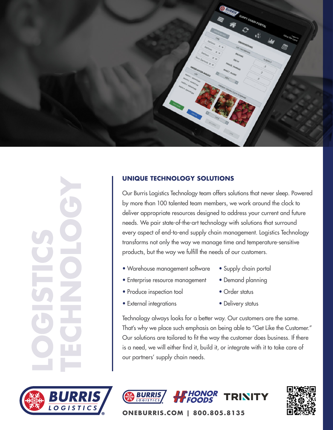

## **UNIQUE TECHNOLOGY SOLUTIONS**

Our Burris Logistics Technology team offers solutions that never sleep. Powered by more than 100 talented team members, we work around the clock to deliver appropriate resources designed to address your current and future needs. We pair state-of-the-art technology with solutions that surround every aspect of end-to-end supply chain management. Logistics Technology transforms not only the way we manage time and temperature-sensitive products, but the way we fulfill the needs of our customers.

- Warehouse management software
- Enterprise resource management
- Produce inspection tool
- External integrations
- Supply chain portal
- Demand planning
- Order status
- Delivery status

Technology always looks for a better way. Our customers are the same. That's why we place such emphasis on being able to "Get Like the Customer." Our solutions are tailored to fit the way the customer does business. If there is a need, we will either find it, build it, or integrate with it to take care of our partners' supply chain needs.







**ONEBURRIS.COM | 800.805.8135**